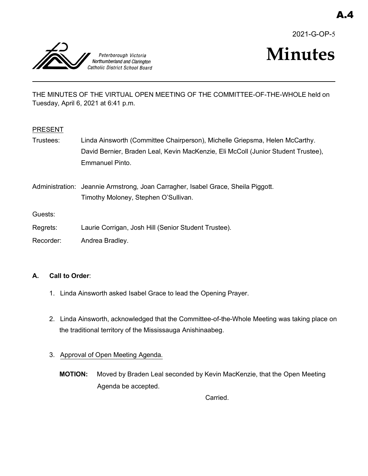2021-G-OP-5



THE MINUTES OF THE VIRTUAL OPEN MEETING OF THE COMMITTEE-OF-THE-WHOLE held on Tuesday, April 6, 2021 at 6:41 p.m.

## PRESENT

Trustees: Linda Ainsworth (Committee Chairperson), Michelle Griepsma, Helen McCarthy. David Bernier, Braden Leal, Kevin MacKenzie, Eli McColl (Junior Student Trustee), Emmanuel Pinto.

Administration: Jeannie Armstrong, Joan Carragher, Isabel Grace, Sheila Piggott. Timothy Moloney, Stephen O'Sullivan.

Guests:

- Regrets: Laurie Corrigan, Josh Hill (Senior Student Trustee).
- Recorder: Andrea Bradley.

## **A. Call to Order**:

- 1. Linda Ainsworth asked Isabel Grace to lead the Opening Prayer.
- 2. Linda Ainsworth, acknowledged that the Committee-of-the-Whole Meeting was taking place on the traditional territory of the Mississauga Anishinaabeg.
- 3. Approval of Open Meeting Agenda.
	- **MOTION:** Moved by Braden Leal seconded by Kevin MacKenzie, that the Open Meeting Agenda be accepted.

Carried.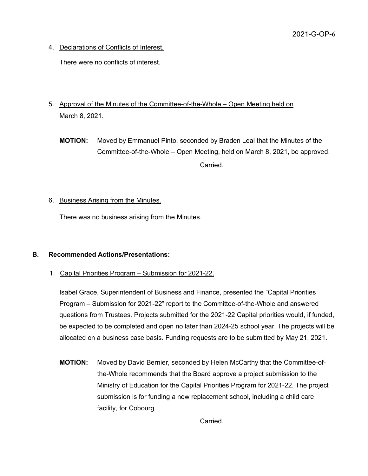4. Declarations of Conflicts of Interest.

There were no conflicts of interest.

- 5. Approval of the Minutes of the Committee-of-the-Whole Open Meeting held on March 8, 2021.
	- **MOTION:** Moved by Emmanuel Pinto, seconded by Braden Leal that the Minutes of the Committee-of-the-Whole – Open Meeting, held on March 8, 2021, be approved. Carried.
- 6. Business Arising from the Minutes.

There was no business arising from the Minutes.

## **B. Recommended Actions/Presentations:**

1. Capital Priorities Program – Submission for 2021-22.

Isabel Grace, Superintendent of Business and Finance, presented the "Capital Priorities Program – Submission for 2021-22" report to the Committee-of-the-Whole and answered questions from Trustees. Projects submitted for the 2021-22 Capital priorities would, if funded, be expected to be completed and open no later than 2024-25 school year. The projects will be allocated on a business case basis. Funding requests are to be submitted by May 21, 2021.

**MOTION:** Moved by David Bernier, seconded by Helen McCarthy that the Committee-ofthe-Whole recommends that the Board approve a project submission to the Ministry of Education for the Capital Priorities Program for 2021-22. The project submission is for funding a new replacement school, including a child care facility, for Cobourg.

Carried.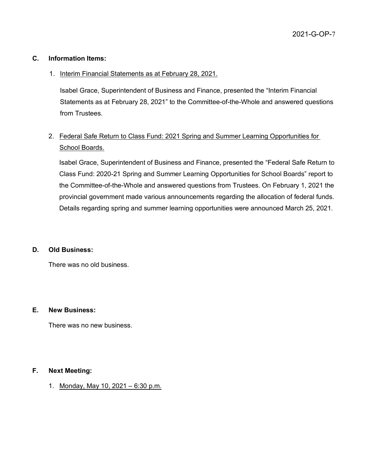## **C. Information Items:**

## 1. Interim Financial Statements as at February 28, 2021.

Isabel Grace, Superintendent of Business and Finance, presented the "Interim Financial Statements as at February 28, 2021" to the Committee-of-the-Whole and answered questions from Trustees.

# 2. Federal Safe Return to Class Fund: 2021 Spring and Summer Learning Opportunities for School Boards.

Isabel Grace, Superintendent of Business and Finance, presented the "Federal Safe Return to Class Fund: 2020-21 Spring and Summer Learning Opportunities for School Boards" report to the Committee-of-the-Whole and answered questions from Trustees. On February 1, 2021 the provincial government made various announcements regarding the allocation of federal funds. Details regarding spring and summer learning opportunities were announced March 25, 2021.

### **D. Old Business:**

There was no old business.

### **E. New Business:**

There was no new business.

### **F. Next Meeting:**

1. Monday, May 10, 2021 – 6:30 p.m.